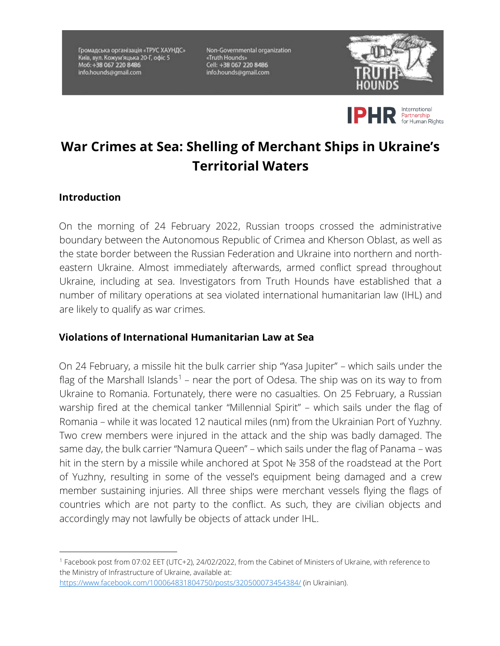Громадська організація «ТРУС ХАУНДС» Київ, вул. Кожум'яцька 20-Г, офіс 5 Mo6: +38 067 220 8486 info.hounds@gmail.com

Non-Governmental organization «Truth Hounds» Cell: +38 067 220 8486<br>info.hounds@gmail.com





## **War Crimes at Sea: Shelling of Merchant Ships in Ukraine's Territorial Waters**

## **Introduction**

On the morning of 24 February 2022, Russian troops crossed the administrative boundary between the Autonomous Republic of Crimea and Kherson Oblast, as well as the state border between the Russian Federation and Ukraine into northern and northeastern Ukraine. Almost immediately afterwards, armed conflict spread throughout Ukraine, including at sea. Investigators from Truth Hounds have established that a number of military operations at sea violated international humanitarian law (IHL) and are likely to qualify as war crimes.

## **Violations of International Humanitarian Law at Sea**

On 24 February, a missile hit the bulk carrier ship "Yasa Jupiter" – which sails under the flag of the Marshall Islands<sup>1</sup> – near the port of Odesa. The ship was on its way to from Ukraine to Romania. Fortunately, there were no casualties. On 25 February, a Russian warship fired at the chemical tanker "Millennial Spirit" – which sails under the flag of Romania – while it was located 12 nautical miles (nm) from the Ukrainian Port of Yuzhny. Two crew members were injured in the attack and the ship was badly damaged. The same day, the bulk carrier "Namura Queen" – which sails under the flag of Panama – was hit in the stern by a missile while anchored at Spot № 358 of the roadstead at the Port of Yuzhny, resulting in some of the vessel's equipment being damaged and a crew member sustaining injuries. All three ships were merchant vessels flying the flags of countries which are not party to the conflict. As such, they are civilian objects and accordingly may not lawfully be objects of attack under IHL.

<sup>1</sup> Facebook post from 07:02 EET (UTC+2), 24/02/2022, from the Cabinet of Ministers of Ukraine, with reference to the Ministry of Infrastructure of Ukraine, available at: https://www.facebook.com/100064831804750/posts/320500073454384/ (in Ukrainian).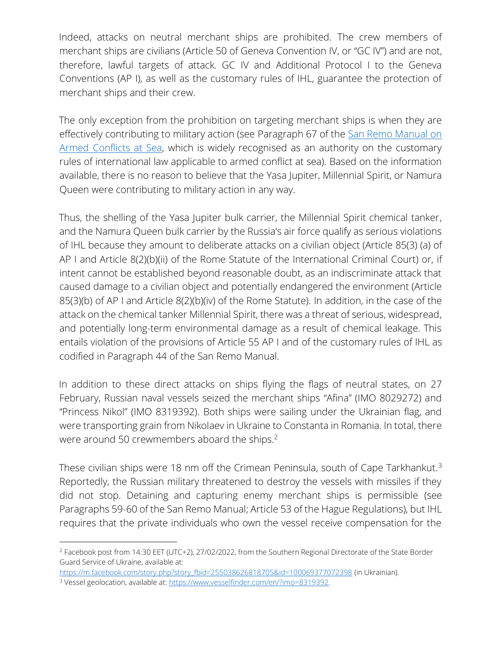Indeed, attacks on neutral merchant ships are prohibited. The crew members of merchant ships are civilians (Article 50 of Geneva Convention IV, or "GC IV") and are not, therefore, lawful targets of attack. GC IV and Additional Protocol I to the Geneva Conventions (AP I), as well as the customary rules of IHL, guarantee the protection of merchant ships and their crew.

The only exception from the prohibition on targeting merchant ships is when they are effectively contributing to military action (see Paragraph 67 of the San Remo Manual on [Armed Conflicts at Sea,](https://ihl-databases.icrc.org/ihl/INTRO/560) which is widely recognised as an authority on the customary rules of international law applicable to armed conflict at sea). Based on the information available, there is no reason to believe that the Yasa Jupiter, Millennial Spirit, or Namura Queen were contributing to military action in any way.

Thus, the shelling of the Yasa Jupiter bulk carrier, the Millennial Spirit chemical tanker, and the Namura Queen bulk carrier by the Russia's air force qualify as serious violations of IHL because they amount to deliberate attacks on a civilian object (Article 85(3) (a) of AP I and Article 8(2)(b)(ii) of the Rome Statute of the International Criminal Court) or, if intent cannot be established beyond reasonable doubt, as an indiscriminate attack that caused damage to a civilian object and potentially endangered the environment (Article 85(3)(b) of AP I and Article 8(2)(b)(iv) of the Rome Statute). In addition, in the case of the attack on the chemical tanker Millennial Spirit, there was a threat of serious, widespread, and potentially long-term environmental damage as a result of chemical leakage. This entails violation of the provisions of Article 55 AP I and of the customary rules of IHL as codified in Paragraph 44 of the San Remo Manual.

In addition to these direct attacks on ships flying the flags of neutral states, on 27 February, Russian naval vessels seized the merchant ships "Afina" (IMO 8029272) and "Princess Nikol" (IMO 8319392). Both ships were sailing under the Ukrainian flag, and were transporting grain from Nikolaev in Ukraine to Constanta in Romania. In total, there were around 50 crewmembers aboard the ships.<sup>2</sup>

These civilian ships were 18 nm off the Crimean Peninsula, south of Cape Tarkhankut.<sup>3</sup> Reportedly, the Russian military threatened to destroy the vessels with missiles if they did not stop. Detaining and capturing enemy merchant ships is permissible (see Paragraphs 59-60 of the San Remo Manual; Article 53 of the Hague Regulations), but IHL requires that the private individuals who own the vessel receive compensation for the

<sup>2</sup> Facebook post from 14:30 EET (UTC+2), 27/02/2022, from the Southern Regional Directorate of the State Border Guard Service of Ukraine, available at:

https://m.facebook.com/story.php?story\_fbid=255038626818705&id=100069377072398 (in Ukrainian).

<sup>&</sup>lt;sup>3</sup> Vessel geolocation, available at: https://www.vesselfinder.com/en/?imo=8319392.